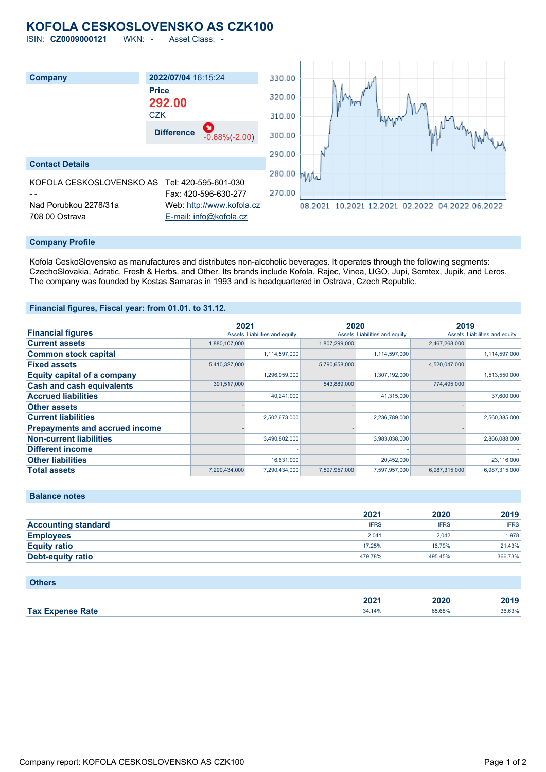# **KOFOLA CESKOSLOVENSKO AS CZK100**

ISIN: **CZ0009000121** WKN: **-** Asset Class: **-**



### **Company Profile**

Kofola CeskoSlovensko as manufactures and distributes non-alcoholic beverages. It operates through the following segments: CzechoSlovakia, Adratic, Fresh & Herbs. and Other. Its brands include Kofola, Rajec, Vinea, UGO, Jupi, Semtex, Jupik, and Leros. The company was founded by Kostas Samaras in 1993 and is headquartered in Ostrava, Czech Republic.

### **Financial figures, Fiscal year: from 01.01. to 31.12.**

|                                       | 2021          |                               | 2020          |                               | 2019          |                               |
|---------------------------------------|---------------|-------------------------------|---------------|-------------------------------|---------------|-------------------------------|
| <b>Financial figures</b>              |               | Assets Liabilities and equity |               | Assets Liabilities and equity |               | Assets Liabilities and equity |
| <b>Current assets</b>                 | 1,880,107,000 |                               | 1,807,299,000 |                               | 2,467,268,000 |                               |
| <b>Common stock capital</b>           |               | 1,114,597,000                 |               | 1,114,597,000                 |               | 1,114,597,000                 |
| <b>Fixed assets</b>                   | 5,410,327,000 |                               | 5,790,658,000 |                               | 4,520,047,000 |                               |
| <b>Equity capital of a company</b>    |               | 1,296,959,000                 |               | 1,307,192,000                 |               | 1,513,550,000                 |
| <b>Cash and cash equivalents</b>      | 391,517,000   |                               | 543,889,000   |                               | 774,495,000   |                               |
| <b>Accrued liabilities</b>            |               | 40.241.000                    |               | 41,315,000                    |               | 37,600,000                    |
| <b>Other assets</b>                   |               |                               |               |                               |               |                               |
| <b>Current liabilities</b>            |               | 2,502,673,000                 |               | 2,236,789,000                 |               | 2,560,385,000                 |
| <b>Prepayments and accrued income</b> |               |                               |               |                               |               |                               |
| <b>Non-current liabilities</b>        |               | 3,490,802,000                 |               | 3,983,038,000                 |               | 2,866,088,000                 |
| <b>Different income</b>               |               |                               |               |                               |               |                               |
| <b>Other liabilities</b>              |               | 16.631.000                    |               | 20,452,000                    |               | 23,116,000                    |
| <b>Total assets</b>                   | 7.290.434.000 | 7.290.434.000                 | 7.597.957.000 | 7.597.957.000                 | 6.987.315.000 | 6.987.315.000                 |

|  | <b>Balance notes</b> |
|--|----------------------|
|  |                      |

|                            | 2021        | 2020        | 2019        |
|----------------------------|-------------|-------------|-------------|
| <b>Accounting standard</b> | <b>IFRS</b> | <b>IFRS</b> | <b>IFRS</b> |
| <b>Employees</b>           | 2.041       | 2.042       | 1.978       |
| <b>Equity ratio</b>        | 17.25%      | 16.79%      | 21.43%      |
| Debt-equity ratio          | 479.78%     | 495.45%     | 366.73%     |

### **Others**

|                                                 | 2025<br>ZUZ | 2020        | 0040<br>~v· |  |
|-------------------------------------------------|-------------|-------------|-------------|--|
| Tax Ex<br><b>Example Rate</b><br><b>Evnoner</b> | 34.14%      | 65.68%<br>. | 36.63%      |  |